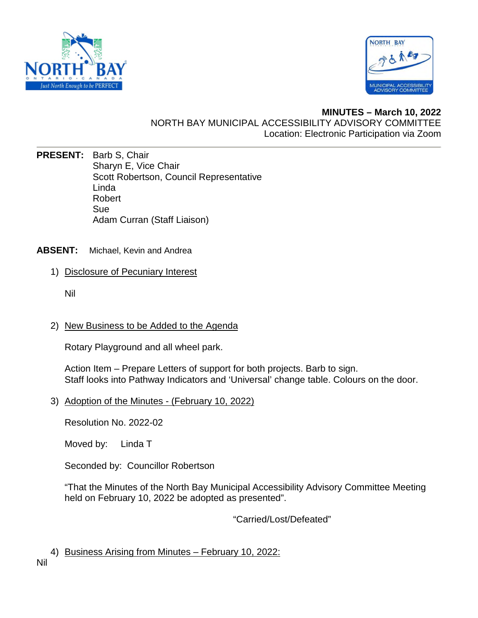



# **MINUTES – March 10, 2022**  NORTH BAY MUNICIPAL ACCESSIBILITY ADVISORY COMMITTEE Location: Electronic Participation via Zoom

- **PRESENT:** Barb S, Chair Sharyn E, Vice Chair Scott Robertson, Council Representative Linda Robert Sue Adam Curran (Staff Liaison)
- **ABSENT:** Michael, Kevin and Andrea
	- 1) Disclosure of Pecuniary Interest
		- Nil
	- 2) New Business to be Added to the Agenda

Rotary Playground and all wheel park.

Action Item – Prepare Letters of support for both projects. Barb to sign. Staff looks into Pathway Indicators and 'Universal' change table. Colours on the door.

3) Adoption of the Minutes - (February 10, 2022)

Resolution No. 2022-02

Moved by: Linda T

Seconded by: Councillor Robertson

"That the Minutes of the North Bay Municipal Accessibility Advisory Committee Meeting held on February 10, 2022 be adopted as presented".

"Carried/Lost/Defeated"

4) Business Arising from Minutes – February 10, 2022: